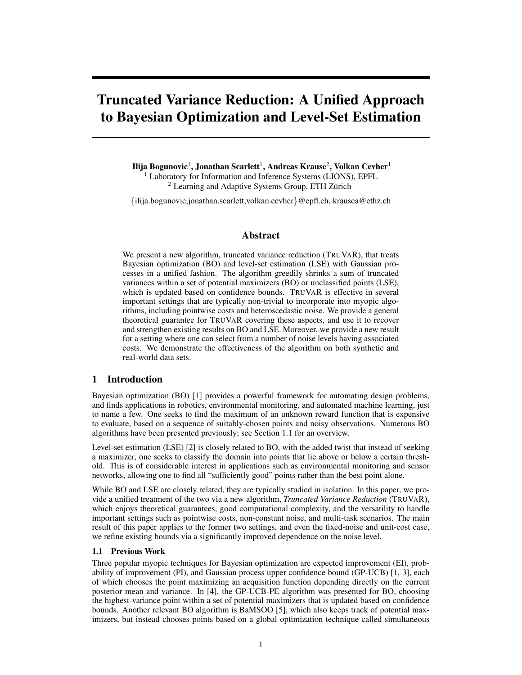# Truncated Variance Reduction: A Unified Approach to Bayesian Optimization and Level-Set Estimation

Ilija Bogunovic<sup>1</sup>, Jonathan Scarlett<sup>1</sup>, Andreas Krause<sup>2</sup>, Volkan Cevher<sup>1</sup> <sup>1</sup> Laboratory for Information and Inference Systems (LIONS), EPFL  $2$  Learning and Adaptive Systems Group, ETH Zürich

*{*ilija.bogunovic,jonathan.scarlett,volkan.cevher*}*@epfl.ch, krausea@ethz.ch

# Abstract

We present a new algorithm, truncated variance reduction (TRUVAR), that treats Bayesian optimization (BO) and level-set estimation (LSE) with Gaussian processes in a unified fashion. The algorithm greedily shrinks a sum of truncated variances within a set of potential maximizers (BO) or unclassified points (LSE), which is updated based on confidence bounds. TRUVAR is effective in several important settings that are typically non-trivial to incorporate into myopic algorithms, including pointwise costs and heteroscedastic noise. We provide a general theoretical guarantee for TRUVAR covering these aspects, and use it to recover and strengthen existing results on BO and LSE. Moreover, we provide a new result for a setting where one can select from a number of noise levels having associated costs. We demonstrate the effectiveness of the algorithm on both synthetic and real-world data sets.

# 1 Introduction

Bayesian optimization (BO) [\[1\]](#page-8-0) provides a powerful framework for automating design problems, and finds applications in robotics, environmental monitoring, and automated machine learning, just to name a few. One seeks to find the maximum of an unknown reward function that is expensive to evaluate, based on a sequence of suitably-chosen points and noisy observations. Numerous BO algorithms have been presented previously; see Section [1.1](#page-0-0) for an overview.

Level-set estimation (LSE) [\[2\]](#page-8-1) is closely related to BO, with the added twist that instead of seeking a maximizer, one seeks to classify the domain into points that lie above or below a certain threshold. This is of considerable interest in applications such as environmental monitoring and sensor networks, allowing one to find all "sufficiently good" points rather than the best point alone.

While BO and LSE are closely related, they are typically studied in isolation. In this paper, we provide a unified treatment of the two via a new algorithm, *Truncated Variance Reduction* (TRUVAR), which enjoys theoretical guarantees, good computational complexity, and the versatility to handle important settings such as pointwise costs, non-constant noise, and multi-task scenarios. The main result of this paper applies to the former two settings, and even the fixed-noise and unit-cost case, we refine existing bounds via a significantly improved dependence on the noise level.

#### <span id="page-0-0"></span>1.1 Previous Work

Three popular myopic techniques for Bayesian optimization are expected improvement (EI), probability of improvement (PI), and Gaussian process upper confidence bound (GP-UCB) [\[1,](#page-8-0) [3\]](#page-8-2), each of which chooses the point maximizing an acquisition function depending directly on the current posterior mean and variance. In [\[4\]](#page-8-3), the GP-UCB-PE algorithm was presented for BO, choosing the highest-variance point within a set of potential maximizers that is updated based on confidence bounds. Another relevant BO algorithm is BaMSOO [\[5\]](#page-8-4), which also keeps track of potential maximizers, but instead chooses points based on a global optimization technique called simultaneous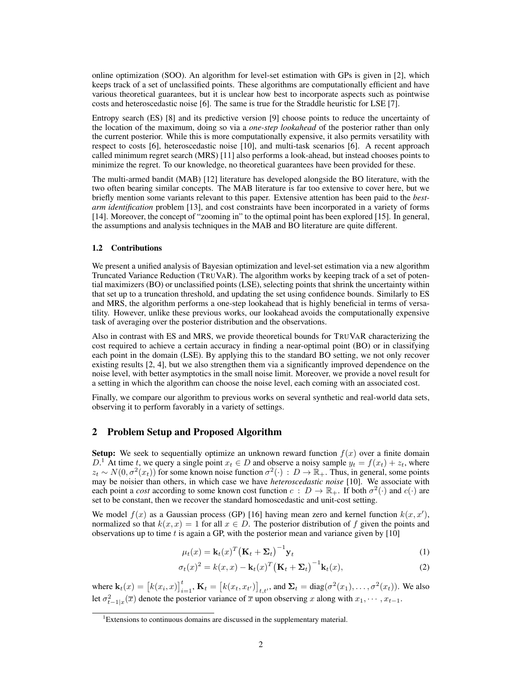online optimization (SOO). An algorithm for level-set estimation with GPs is given in [\[2\]](#page-8-1), which keeps track of a set of unclassified points. These algorithms are computationally efficient and have various theoretical guarantees, but it is unclear how best to incorporate aspects such as pointwise costs and heteroscedastic noise [\[6\]](#page-8-5). The same is true for the Straddle heuristic for LSE [\[7\]](#page-8-6).

Entropy search (ES) [\[8\]](#page-8-7) and its predictive version [\[9\]](#page-8-8) choose points to reduce the uncertainty of the location of the maximum, doing so via a *one-step lookahead* of the posterior rather than only the current posterior. While this is more computationally expensive, it also permits versatility with respect to costs [\[6\]](#page-8-5), heteroscedastic noise [\[10\]](#page-8-9), and multi-task scenarios [\[6\]](#page-8-5). A recent approach called minimum regret search (MRS) [\[11\]](#page-8-10) also performs a look-ahead, but instead chooses points to minimize the regret. To our knowledge, no theoretical guarantees have been provided for these.

The multi-armed bandit (MAB) [\[12\]](#page-8-11) literature has developed alongside the BO literature, with the two often bearing similar concepts. The MAB literature is far too extensive to cover here, but we briefly mention some variants relevant to this paper. Extensive attention has been paid to the *bestarm identification* problem [\[13\]](#page-8-12), and cost constraints have been incorporated in a variety of forms [\[14\]](#page-8-13). Moreover, the concept of "zooming in" to the optimal point has been explored [\[15\]](#page-8-14). In general, the assumptions and analysis techniques in the MAB and BO literature are quite different.

#### 1.2 Contributions

We present a unified analysis of Bayesian optimization and level-set estimation via a new algorithm Truncated Variance Reduction (TRUVAR). The algorithm works by keeping track of a set of potential maximizers (BO) or unclassified points (LSE), selecting points that shrink the uncertainty within that set up to a truncation threshold, and updating the set using confidence bounds. Similarly to ES and MRS, the algorithm performs a one-step lookahead that is highly beneficial in terms of versatility. However, unlike these previous works, our lookahead avoids the computationally expensive task of averaging over the posterior distribution and the observations.

Also in contrast with ES and MRS, we provide theoretical bounds for TRUVAR characterizing the cost required to achieve a certain accuracy in finding a near-optimal point (BO) or in classifying each point in the domain (LSE). By applying this to the standard BO setting, we not only recover existing results [\[2,](#page-8-1) [4\]](#page-8-3), but we also strengthen them via a significantly improved dependence on the noise level, with better asymptotics in the small noise limit. Moreover, we provide a novel result for a setting in which the algorithm can choose the noise level, each coming with an associated cost.

Finally, we compare our algorithm to previous works on several synthetic and real-world data sets, observing it to perform favorably in a variety of settings.

# 2 Problem Setup and Proposed Algorithm

**Setup:** We seek to sequentially optimize an unknown reward function  $f(x)$  over a finite domain *D*.<sup>[1](#page-1-0)</sup> At time *t*, we query a single point  $x_t \in D$  and observe a noisy sample  $y_t = f(x_t) + z_t$ , where  $z_t \sim N(0, \sigma^2(x_t))$  for some known noise function  $\sigma^2(\cdot) : D \to \mathbb{R}_+$ . Thus, in general, some points may be noisier than others, in which case we have *heteroscedastic noise* [\[10\]](#page-8-9). We associate with each point a *cost* according to some known cost function  $c : D \to \mathbb{R}_+$ . If both  $\sigma^2(\cdot)$  and  $c(\cdot)$  are set to be constant, then we recover the standard homoscedastic and unit-cost setting.

We model  $f(x)$  as a Gaussian process (GP) [\[16\]](#page-8-15) having mean zero and kernel function  $k(x, x')$ , normalized so that  $k(x, x) = 1$  for all  $x \in D$ . The posterior distribution of f given the points and observations up to time *t* is again a GP, with the posterior mean and variance given by [\[10\]](#page-8-9)

<span id="page-1-2"></span><span id="page-1-1"></span>
$$
\mu_t(x) = \mathbf{k}_t(x)^T \left( \mathbf{K}_t + \mathbf{\Sigma}_t \right)^{-1} \mathbf{y}_t
$$
\n(1)

$$
\sigma_t(x)^2 = k(x, x) - \mathbf{k}_t(x)^T (\mathbf{K}_t + \mathbf{\Sigma}_t)^{-1} \mathbf{k}_t(x),
$$
\n(2)

where  $\mathbf{k}_t(x) = [k(x_i, x)]_{i=1}^t$ ,  $\mathbf{K}_t = [k(x_t, x_{t'})]_{t,t'}$ , and  $\Sigma_t = \text{diag}(\sigma^2(x_1), \dots, \sigma^2(x_t))$ . We also let  $\sigma_{t-1|x}^2(\overline{x})$  denote the posterior variance of  $\overline{x}$  upon observing *x* along with  $x_1, \dots, x_{t-1}$ .

<span id="page-1-0"></span><sup>&</sup>lt;sup>1</sup>Extensions to continuous domains are discussed in the supplementary material.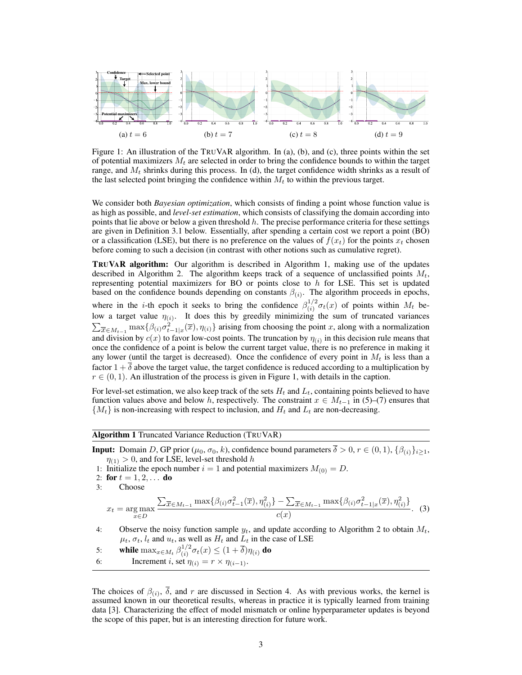<span id="page-2-1"></span>

Figure 1: An illustration of the TRUVAR algorithm. In (a), (b), and (c), three points within the set of potential maximizers *M<sup>t</sup>* are selected in order to bring the confidence bounds to within the target range, and *M<sup>t</sup>* shrinks during this process. In (d), the target confidence width shrinks as a result of the last selected point bringing the confidence within  $M_t$  to within the previous target.

We consider both *Bayesian optimization*, which consists of finding a point whose function value is as high as possible, and *level-set estimation*, which consists of classifying the domain according into points that lie above or below a given threshold *h*. The precise performance criteria for these settings are given in Definition [3.1](#page-3-0) below. Essentially, after spending a certain cost we report a point (BO) or a classification (LSE), but there is no preference on the values of  $f(x_t)$  for the points  $x_t$  chosen before coming to such a decision (in contrast with other notions such as cumulative regret).

**TRUVAR algorithm:** Our algorithm is described in Algorithm [1,](#page-2-0) making use of the updates described in Algorithm [2.](#page-3-1) The algorithm keeps track of a sequence of unclassified points  $M_t$ , representing potential maximizers for BO or points close to *h* for LSE. This set is updated based on the confidence bounds depending on constants  $\beta_{(i)}$ . The algorithm proceeds in epochs, where in the *i*-th epoch it seeks to bring the confidence  $\beta_{(i)}^{1/2} \sigma_t(x)$  of points within  $M_t$  below a target value  $\eta(i)$ . It does this by greedily minimizing the sum of truncated variances  $\sum_{\overline{x} \in M_{t-1}} \max \{ \beta(i) \sigma_{t-1|x}^2(\overline{x}), \eta(i) \}$  arising from choosing the point *x*, along with a normalization and division by  $c(x)$  to favor low-cost points. The truncation by  $\eta(i)$  in this decision rule means that once the confidence of a point is below the current target value, there is no preference in making it any lower (until the target is decreased). Once the confidence of every point in  $M_t$  is less than a factor  $1 + \delta$  above the target value, the target confidence is reduced according to a multiplication by  $r \in (0, 1)$ . An illustration of the process is given in Figure [1,](#page-2-1) with details in the caption.

For level-set estimation, we also keep track of the sets  $H_t$  and  $L_t$ , containing points believed to have function values above and below *h*, respectively. The constraint  $x \in M_{t-1}$  in [\(5\)](#page-3-2)–[\(7\)](#page-3-3) ensures that  ${M_t}$  is non-increasing with respect to inclusion, and  $H_t$  and  $L_t$  are non-decreasing.

<span id="page-2-0"></span>Algorithm 1 Truncated Variance Reduction (TRUVAR)

**Input:** Domain *D*, GP prior ( $\mu_0$ ,  $\sigma_0$ , *k*), confidence bound parameters  $\overline{\delta} > 0$ ,  $r \in (0, 1)$ ,  $\{\beta_{(i)}\}_{i \geq 1}$ ,  $\eta_{(1)} > 0$ , and for LSE, level-set threshold *h* 

- 1: Initialize the epoch number  $i = 1$  and potential maximizers  $M_{(0)} = D$ .
- 2: **for**  $t = 1, 2, ...$  **do**<br>3: **Choose**
- Choose

$$
x_{t} = \underset{x \in D}{\arg \max} \frac{\sum_{\overline{x} \in M_{t-1}} \max \{ \beta_{(i)} \sigma_{t-1}^{2}(\overline{x}), \eta_{(i)}^{2} \} - \sum_{\overline{x} \in M_{t-1}} \max \{ \beta_{(i)} \sigma_{t-1|x}^{2}(\overline{x}), \eta_{(i)}^{2} \}}{c(x)}.
$$
 (3)

4: Observe the noisy function sample  $y_t$ , and update according to Algorithm [2](#page-3-1) to obtain  $M_t$ ,  $\mu_t$ ,  $\sigma_t$ ,  $l_t$  and  $u_t$ , as well as  $H_t$  and  $\tilde{L}_t$  in the case of LSE

- 5: while  $\max_{x \in M_t} \beta_{(i)}^{1/2} \sigma_t(x) \leq (1 + \overline{\delta}) \eta_{(i)}$  do
- 6: Increment *i*, set  $\eta_{(i)} = r \times \eta_{(i-1)}$ .

The choices of  $\beta(i)$ ,  $\overline{\delta}$ , and *r* are discussed in Section [4.](#page-5-0) As with previous works, the kernel is assumed known in our theoretical results, whereas in practice it is typically learned from training data [\[3\]](#page-8-2). Characterizing the effect of model mismatch or online hyperparameter updates is beyond the scope of this paper, but is an interesting direction for future work.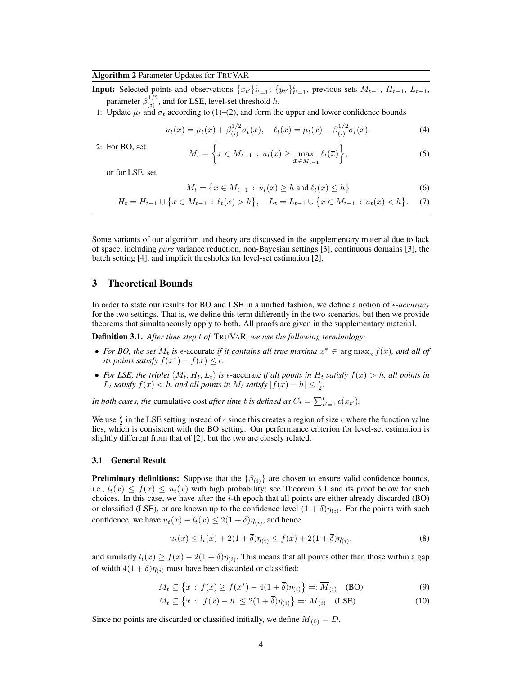## <span id="page-3-1"></span>Algorithm 2 Parameter Updates for TRUVAR

**Input:** Selected points and observations  $\{x_t\}_{t=1}^t$ ;  $\{y_t\}_{t=1}^t$ , previous sets  $M_{t-1}$ ,  $H_{t-1}$ ,  $L_{t-1}$ , parameter  $\beta_{(i)}^{1/2}$ , and for LSE, level-set threshold *h*.

1: Update  $\mu_t$  and  $\sigma_t$  according to [\(1\)](#page-1-1)–[\(2\)](#page-1-2), and form the upper and lower confidence bounds

<span id="page-3-2"></span>
$$
u_t(x) = \mu_t(x) + \beta_{(i)}^{1/2} \sigma_t(x), \quad \ell_t(x) = \mu_t(x) - \beta_{(i)}^{1/2} \sigma_t(x). \tag{4}
$$

2: For BO, set

$$
M_t = \left\{ x \in M_{t-1} : u_t(x) \ge \max_{\overline{x} \in M_{t-1}} \ell_t(\overline{x}) \right\},\tag{5}
$$

or for LSE, set

<span id="page-3-3"></span>
$$
M_t = \{ x \in M_{t-1} : u_t(x) \ge h \text{ and } \ell_t(x) \le h \}
$$
 (6)

$$
H_t = H_{t-1} \cup \{ x \in M_{t-1} : \ell_t(x) > h \}, \quad L_t = L_{t-1} \cup \{ x \in M_{t-1} : u_t(x) < h \}.
$$
 (7)

Some variants of our algorithm and theory are discussed in the supplementary material due to lack of space, including *pure* variance reduction, non-Bayesian settings [\[3\]](#page-8-2), continuous domains [\[3\]](#page-8-2), the batch setting [\[4\]](#page-8-3), and implicit thresholds for level-set estimation [\[2\]](#page-8-1).

## 3 Theoretical Bounds

In order to state our results for BO and LSE in a unified fashion, we define a notion of  $\epsilon$ -accuracy for the two settings. That is, we define this term differently in the two scenarios, but then we provide theorems that simultaneously apply to both. All proofs are given in the supplementary material.

<span id="page-3-0"></span>Definition 3.1. *After time step t of* TRUVAR*, we use the following terminology:*

- For BO, the set  $M_t$  is  $\epsilon$ -accurate *if it contains all true maxima*  $x^* \in \arg \max_x f(x)$ , and all of *its points satisfy*  $f(x^*) - f(x) \leq \epsilon$ .
- For LSE, the triplet  $(M_t, H_t, L_t)$  is  $\epsilon$ -accurate if all points in  $H_t$  satisfy  $f(x) > h$ , all points in *L*<sub>t</sub> satisfy  $f(x) < h$ , and all points in  $M_t$  satisfy  $|f(x) - h| \leq \frac{\epsilon}{2}$ .

*In both cases, the cumulative cost after time <i>t is defined as*  $C_t = \sum_{t'=1}^t c(x_{t'})$ *.* 

We use  $\frac{\epsilon}{2}$  in the LSE setting instead of  $\epsilon$  since this creates a region of size  $\epsilon$  where the function value lies, which is consistent with the BO setting. Our performance criterion for level-set estimation is slightly different from that of [\[2\]](#page-8-1), but the two are closely related.

#### 3.1 General Result

**Preliminary definitions:** Suppose that the  $\{\beta_{(i)}\}$  are chosen to ensure valid confidence bounds, i.e.,  $l_t(x) \leq f(x) \leq u_t(x)$  with high probability; see Theorem [3.1](#page-4-0) and its proof below for such choices. In this case, we have after the *i*-th epoch that all points are either already discarded (BO) or classified (LSE), or are known up to the confidence level  $(1 + \delta)\eta_{(i)}$ . For the points with such confidence, we have  $u_t(x) - l_t(x) \leq 2(1 + \overline{\delta})\eta_{(i)}$ , and hence

$$
u_t(x) \le l_t(x) + 2(1+\overline{\delta})\eta_{(i)} \le f(x) + 2(1+\overline{\delta})\eta_{(i)},\tag{8}
$$

and similarly  $l_t(x) \ge f(x) - 2(1 + \overline{\delta})\eta_{(i)}$ . This means that all points other than those within a gap of width  $4(1 + \overline{\delta})\eta_{(i)}$  must have been discarded or classified:

$$
M_t \subseteq \{x : f(x) \ge f(x^*) - 4(1 + \overline{\delta})\eta_{(i)}\} =: \overline{M}_{(i)}
$$
 (BO) (9)

$$
M_t \subseteq \left\{ x : |f(x) - h| \le 2(1 + \overline{\delta})\eta_{(i)} \right\} =: \overline{M}_{(i)} \quad \text{(LSE)} \tag{10}
$$

Since no points are discarded or classified initially, we define  $\overline{M}_{(0)} = D$ .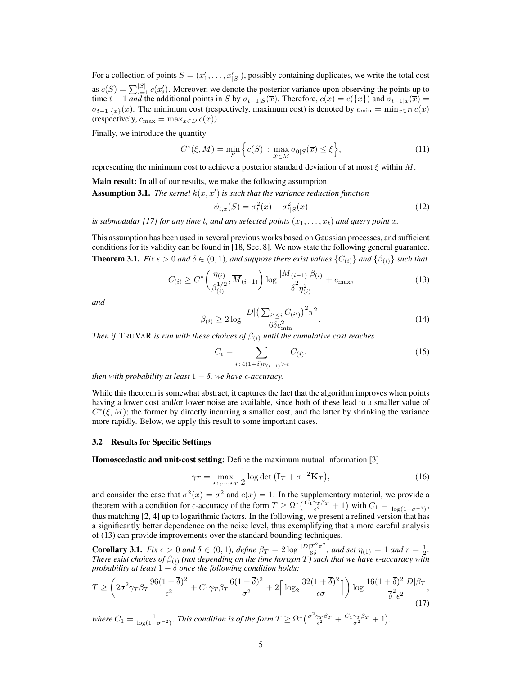For a collection of points  $S = (x'_1, \ldots, x'_{|S|})$ , possibly containing duplicates, we write the total cost as  $c(S) = \sum_{i=1}^{|S|} c(x_i)$ . Moreover, we denote the posterior variance upon observing the points up to time  $t - 1$  *and* the additional points in *S* by  $\sigma_{t-1|S}(\overline{x})$ . Therefore,  $c(x) = c({x})$  and  $\sigma_{t-1|x}(\overline{x}) = c({x})$  $\sigma_{t-1}$ <sub>{*x*</sub>}(*x*). The minimum cost (respectively, maximum cost) is denoted by  $c_{\min} = \min_{x \in D} c(x)$ (respectively,  $c_{\text{max}} = \max_{x \in D} c(x)$ ).

Finally, we introduce the quantity

$$
C^*(\xi, M) = \min_{S} \left\{ c(S) : \max_{\overline{x} \in M} \sigma_{0|S}(\overline{x}) \le \xi \right\},\tag{11}
$$

representing the minimum cost to achieve a posterior standard deviation of at most  $\xi$  within  $M$ .

Main result: In all of our results, we make the following assumption.

**Assumption 3.1.** The kernel  $k(x, x')$  is such that the variance reduction function

<span id="page-4-1"></span>
$$
\psi_{t,x}(S) = \sigma_t^2(x) - \sigma_{t|S}^2(x)
$$
\n(12)

*is submodular [\[17\]](#page-8-16) for any time t, and any selected points*  $(x_1, \ldots, x_t)$  *and query point*  $x$ *.* 

<span id="page-4-0"></span>This assumption has been used in several previous works based on Gaussian processes, and sufficient conditions for its validity can be found in [\[18,](#page-8-17) Sec. 8]. We now state the following general guarantee. **Theorem 3.1.** *Fix*  $\epsilon > 0$  *and*  $\delta \in (0, 1)$ *, and suppose there exist values*  $\{C_{(i)}\}$  *and*  $\{\beta_{(i)}\}$  *such that* 

$$
C_{(i)} \ge C^* \left( \frac{\eta_{(i)}}{\beta_{(i)}^{1/2}}, \overline{M}_{(i-1)} \right) \log \frac{|\overline{M}_{(i-1)}| \beta_{(i)}}{\overline{\delta}^2 \eta_{(i)}^2} + c_{\max},\tag{13}
$$

<span id="page-4-4"></span>*and*

$$
\beta_{(i)} \ge 2 \log \frac{|D| \left(\sum_{i' \le i} C_{(i')} \right)^2 \pi^2}{6\delta c_{\min}^2}.
$$
\n(14)

*Then if* TRUVAR *is run with these choices of*  $\beta_{(i)}$  *until the cumulative cost reaches* 

$$
C_{\epsilon} = \sum_{i \,:\, 4(1+\overline{\delta})\eta_{(i-1)} > \epsilon} C_{(i)},\tag{15}
$$

*then with probability at least*  $1 - \delta$ *, we have*  $\epsilon$ *-accuracy.* 

While this theorem is somewhat abstract, it captures the fact that the algorithm improves when points having a lower cost and/or lower noise are available, since both of these lead to a smaller value of  $C^*(\xi, M)$ ; the former by directly incurring a smaller cost, and the latter by shrinking the variance more rapidly. Below, we apply this result to some important cases.

#### 3.2 Results for Specific Settings

Homoscedastic and unit-cost setting: Define the maximum mutual information [\[3\]](#page-8-2)

<span id="page-4-3"></span>
$$
\gamma_T = \max_{x_1, \dots, x_T} \frac{1}{2} \log \det \left( \mathbf{I}_T + \sigma^{-2} \mathbf{K}_T \right),\tag{16}
$$

and consider the case that  $\sigma^2(x) = \sigma^2$  and  $c(x) = 1$ . In the supplementary material, we provide a theorem with a condition for  $\epsilon$ -accuracy of the form  $T \ge \Omega^* \left( \frac{C_1 \gamma_T \beta_T}{\epsilon^2} + 1 \right)$  with  $C_1 = \frac{1}{\log(1 + \sigma^{-2})}$ , thus matching [\[2,](#page-8-1) [4\]](#page-8-3) up to logarithmic factors. In the following, we present a refined version that has a significantly better dependence on the noise level, thus exemplifying that a more careful analysis of [\(13\)](#page-4-1) can provide improvements over the standard bounding techniques.

<span id="page-4-2"></span>**Corollary 3.1.** *Fix*  $\epsilon > 0$  *and*  $\delta \in (0,1)$ *, define*  $\beta_T = 2 \log \frac{|D|T^2 \pi^2}{\delta}$ *, and set*  $\eta_{(1)} = 1$  *and*  $r = \frac{1}{2}$ *. There exist choices of*  $\beta_{(i)}$  *(not depending on the time horizon*  $T$ *) such that we have*  $\epsilon$ *-accuracy with probability at least*  $1 - \delta$  *once the following condition holds:* 

$$
T \ge \left(2\sigma^2 \gamma_T \beta_T \frac{96(1+\overline{\delta})^2}{\epsilon^2} + C_1 \gamma_T \beta_T \frac{6(1+\overline{\delta})^2}{\sigma^2} + 2\left[\log_2 \frac{32(1+\overline{\delta})^2}{\epsilon \sigma}\right]\right) \log \frac{16(1+\overline{\delta})^2 |D|\beta_T}{\overline{\delta}^2 \epsilon^2},\tag{17}
$$

where  $C_1 = \frac{1}{\log(1+\sigma^{-2})}$ . This condition is of the form  $T \ge \Omega^* \left( \frac{\sigma^2 \gamma_T \beta_T}{\epsilon^2} + \frac{C_1 \gamma_T \beta_T}{\sigma^2} + 1 \right)$ .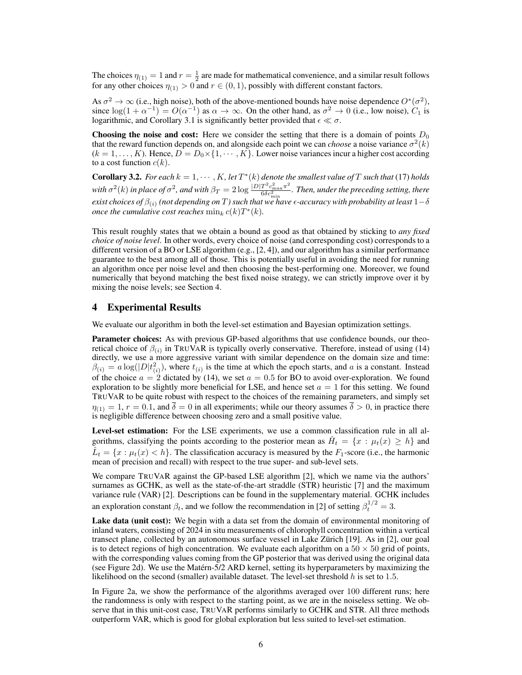The choices  $\eta_{(1)} = 1$  and  $r = \frac{1}{2}$  are made for mathematical convenience, and a similar result follows for any other choices  $\eta_{(1)} > 0$  and  $r \in (0, 1)$ , possibly with different constant factors.

As  $\sigma^2 \to \infty$  (i.e., high noise), both of the above-mentioned bounds have noise dependence  $O^*(\sigma^2)$ , since  $\log(1 + \alpha^{-1}) = O(\alpha^{-1})$  as  $\alpha \to \infty$ . On the other hand, as  $\sigma^2 \to 0$  (i.e., low noise),  $C_1$  is logarithmic, and Corollary [3.1](#page-4-2) is significantly better provided that  $\epsilon \ll \sigma$ .

**Choosing the noise and cost:** Here we consider the setting that there is a domain of points  $D_0$ that the reward function depends on, and alongside each point we can *choose* a noise variance  $\sigma^2(k)$  $(k = 1, \ldots, K)$ . Hence,  $D = D_0 \times \{1, \cdots, K\}$ . Lower noise variances incur a higher cost according to a cost function  $c(k)$ .

<span id="page-5-1"></span>**Corollary 3.2.** For each  $k = 1, \dots, K$ , let  $T^*(k)$  denote the smallest value of  $T$  such that [\(17\)](#page-4-3) holds with  $\sigma^2(k)$  in place of  $\sigma^2$ , and with  $\beta_T = 2 \log \frac{|D|T^2 c_{\max}^2 \pi^2}{6 \delta c_{\min}^2}$ . Then, under the preceding setting, there *exist choices of*  $\beta_{(i)}$  (not depending on T) such that we have  $\epsilon$ -accuracy with probability at least  $1-\delta$ *once the cumulative cost reaches*  $\min_k c(k) T^*(k)$ .

This result roughly states that we obtain a bound as good as that obtained by sticking to *any fixed choice of noise level*. In other words, every choice of noise (and corresponding cost) corresponds to a different version of a BO or LSE algorithm (e.g.,  $[2, 4]$  $[2, 4]$ ), and our algorithm has a similar performance guarantee to the best among all of those. This is potentially useful in avoiding the need for running an algorithm once per noise level and then choosing the best-performing one. Moreover, we found numerically that beyond matching the best fixed noise strategy, we can strictly improve over it by mixing the noise levels; see Section [4.](#page-5-0)

### <span id="page-5-0"></span>4 Experimental Results

We evaluate our algorithm in both the level-set estimation and Bayesian optimization settings.

Parameter choices: As with previous GP-based algorithms that use confidence bounds, our theoretical choice of  $\beta_{(i)}$  in TRUVAR is typically overly conservative. Therefore, instead of using [\(14\)](#page-4-4) directly, we use a more aggressive variant with similar dependence on the domain size and time:  $\beta(i) = a \log(|D|t_{(i)}^2)$ , where  $t_{(i)}$  is the time at which the epoch starts, and *a* is a constant. Instead of the choice  $a = 2$  dictated by [\(14\)](#page-4-4), we set  $a = 0.5$  for BO to avoid over-exploration. We found exploration to be slightly more beneficial for LSE, and hence set  $a = 1$  for this setting. We found TRUVAR to be quite robust with respect to the choices of the remaining parameters, and simply set  $\eta_{(1)} = 1$ ,  $r = 0.1$ , and  $\overline{\delta} = 0$  in all experiments; while our theory assumes  $\overline{\delta} > 0$ , in practice there is negligible difference between choosing zero and a small positive value.

Level-set estimation: For the LSE experiments, we use a common classification rule in all algorithms, classifying the points according to the posterior mean as  $\hat{H}_t = \{x : \mu_t(x) \geq h\}$  and  $\dot{L}_t = \{x : \mu_t(x) < h\}$ . The classification accuracy is measured by the  $F_1$ -score (i.e., the harmonic mean of precision and recall) with respect to the true super- and sub-level sets.

We compare TRUVAR against the GP-based LSE algorithm [\[2\]](#page-8-1), which we name via the authors' surnames as GCHK, as well as the state-of-the-art straddle (STR) heuristic [\[7\]](#page-8-6) and the maximum variance rule (VAR) [\[2\]](#page-8-1). Descriptions can be found in the supplementary material. GCHK includes an exploration constant  $\beta_t$ , and we follow the recommendation in [\[2\]](#page-8-1) of setting  $\beta_t^{1/2} = 3$ .

Lake data (unit cost): We begin with a data set from the domain of environmental monitoring of inland waters, consisting of 2024 in situ measurements of chlorophyll concentration within a vertical transect plane, collected by an autonomous surface vessel in Lake Zürich [\[19\]](#page-8-18). As in [\[2\]](#page-8-1), our goal is to detect regions of high concentration. We evaluate each algorithm on a  $50 \times 50$  grid of points, with the corresponding values coming from the GP posterior that was derived using the original data (see Figure [2d\)](#page-6-0). We use the Matérn-5/2 ARD kernel, setting its hyperparameters by maximizing the likelihood on the second (smaller) available dataset. The level-set threshold *h* is set to 1*.*5.

In Figure [2a,](#page-6-0) we show the performance of the algorithms averaged over 100 different runs; here the randomness is only with respect to the starting point, as we are in the noiseless setting. We observe that in this unit-cost case, TRUVAR performs similarly to GCHK and STR. All three methods outperform VAR, which is good for global exploration but less suited to level-set estimation.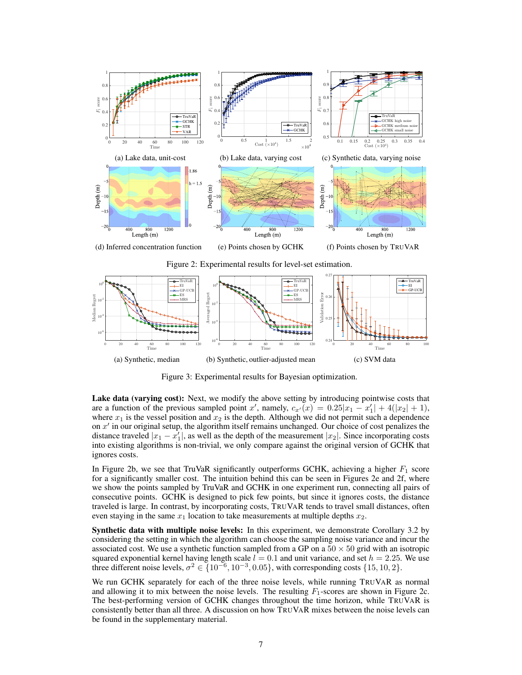<span id="page-6-0"></span>

<span id="page-6-1"></span>

Figure 3: Experimental results for Bayesian optimization.

Lake data (varying cost): Next, we modify the above setting by introducing pointwise costs that are a function of the previous sampled point *x'*, namely,  $c_{x}(x) = 0.25|x_1 - x_1'| + 4(|x_2| + 1)$ , where  $x_1$  is the vessel position and  $x_2$  is the depth. Although we did not permit such a dependence on  $x<sup>0</sup>$  in our original setup, the algorithm itself remains unchanged. Our choice of cost penalizes the distance traveled  $|x_1 - x'_1|$ , as well as the depth of the measurement  $|x_2|$ . Since incorporating costs into existing algorithms is non-trivial, we only compare against the original version of GCHK that ignores costs.

In Figure [2b,](#page-6-0) we see that TruVaR significantly outperforms GCHK, achieving a higher *F*<sup>1</sup> score for a significantly smaller cost. The intuition behind this can be seen in Figures [2e](#page-6-0) and [2f,](#page-6-0) where we show the points sampled by TruVaR and GCHK in one experiment run, connecting all pairs of consecutive points. GCHK is designed to pick few points, but since it ignores costs, the distance traveled is large. In contrast, by incorporating costs, TRUVAR tends to travel small distances, often even staying in the same  $x_1$  location to take measurements at multiple depths  $x_2$ .

Synthetic data with multiple noise levels: In this experiment, we demonstrate Corollary [3.2](#page-5-1) by considering the setting in which the algorithm can choose the sampling noise variance and incur the associated cost. We use a synthetic function sampled from a GP on a  $50 \times 50$  grid with an isotropic squared exponential kernel having length scale  $l = 0.1$  and unit variance, and set  $h = 2.25$ . We use three different noise levels,  $\sigma^2 \in \{10^{-6}, 10^{-3}, 0.05\}$ , with corresponding costs  $\{15, 10, 2\}$ .

We run GCHK separately for each of the three noise levels, while running TRUVAR as normal and allowing it to mix between the noise levels. The resulting  $F_1$ -scores are shown in Figure [2c.](#page-6-0) The best-performing version of GCHK changes throughout the time horizon, while TRUVAR is consistently better than all three. A discussion on how TRUVAR mixes between the noise levels can be found in the supplementary material.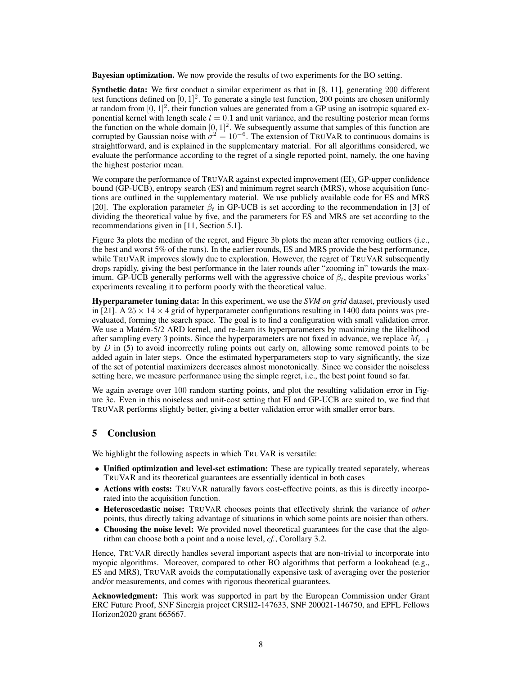Bayesian optimization. We now provide the results of two experiments for the BO setting.

Synthetic data: We first conduct a similar experiment as that in [\[8,](#page-8-7) [11\]](#page-8-10), generating 200 different test functions defined on  $[0, 1]^2$ . To generate a single test function, 200 points are chosen uniformly at random from  $[0, 1]^2$ , their function values are generated from a GP using an isotropic squared exponential kernel with length scale  $l = 0.1$  and unit variance, and the resulting posterior mean forms the function on the whole domain  $[0, 1]^2$ . We subsequently assume that samples of this function are corrupted by Gaussian noise with  $\sigma^2 = 10^{-6}$ . The extension of TRUVAR to continuous domains is straightforward, and is explained in the supplementary material. For all algorithms considered, we evaluate the performance according to the regret of a single reported point, namely, the one having the highest posterior mean.

We compare the performance of TRUVAR against expected improvement (EI), GP-upper confidence bound (GP-UCB), entropy search (ES) and minimum regret search (MRS), whose acquisition functions are outlined in the supplementary material. We use publicly available code for ES and MRS [\[20\]](#page-8-19). The exploration parameter  $\beta_t$  in GP-UCB is set according to the recommendation in [\[3\]](#page-8-2) of dividing the theoretical value by five, and the parameters for ES and MRS are set according to the recommendations given in [\[11,](#page-8-10) Section 5.1].

Figure [3a](#page-6-1) plots the median of the regret, and Figure [3b](#page-6-1) plots the mean after removing outliers (i.e., the best and worst 5% of the runs). In the earlier rounds, ES and MRS provide the best performance, while TRUVAR improves slowly due to exploration. However, the regret of TRUVAR subsequently drops rapidly, giving the best performance in the later rounds after "zooming in" towards the maximum. GP-UCB generally performs well with the aggressive choice of  $\beta_t$ , despite previous works' experiments revealing it to perform poorly with the theoretical value.

Hyperparameter tuning data: In this experiment, we use the *SVM on grid* dataset, previously used in [\[21\]](#page-8-20). A  $25 \times 14 \times 4$  grid of hyperparameter configurations resulting in 1400 data points was preevaluated, forming the search space. The goal is to find a configuration with small validation error. We use a Matérn-5/2 ARD kernel, and re-learn its hyperparameters by maximizing the likelihood after sampling every 3 points. Since the hyperparameters are not fixed in advance, we replace  $M_{t-1}$ by *D* in [\(5\)](#page-3-2) to avoid incorrectly ruling points out early on, allowing some removed points to be added again in later steps. Once the estimated hyperparameters stop to vary significantly, the size of the set of potential maximizers decreases almost monotonically. Since we consider the noiseless setting here, we measure performance using the simple regret, i.e., the best point found so far.

We again average over 100 random starting points, and plot the resulting validation error in Figure [3c.](#page-6-1) Even in this noiseless and unit-cost setting that EI and GP-UCB are suited to, we find that TRUVAR performs slightly better, giving a better validation error with smaller error bars.

# 5 Conclusion

We highlight the following aspects in which TRUVAR is versatile:

- Unified optimization and level-set estimation: These are typically treated separately, whereas TRUVAR and its theoretical guarantees are essentially identical in both cases
- Actions with costs: TRUVAR naturally favors cost-effective points, as this is directly incorporated into the acquisition function.
- *•* Heteroscedastic noise: TRUVAR chooses points that effectively shrink the variance of *other* points, thus directly taking advantage of situations in which some points are noisier than others.
- Choosing the noise level: We provided novel theoretical guarantees for the case that the algorithm can choose both a point and a noise level, *cf.*, Corollary [3.2.](#page-5-1)

Hence, TRUVAR directly handles several important aspects that are non-trivial to incorporate into myopic algorithms. Moreover, compared to other BO algorithms that perform a lookahead (e.g., ES and MRS), TRUVAR avoids the computationally expensive task of averaging over the posterior and/or measurements, and comes with rigorous theoretical guarantees.

Acknowledgment: This work was supported in part by the European Commission under Grant ERC Future Proof, SNF Sinergia project CRSII2-147633, SNF 200021-146750, and EPFL Fellows Horizon2020 grant 665667.